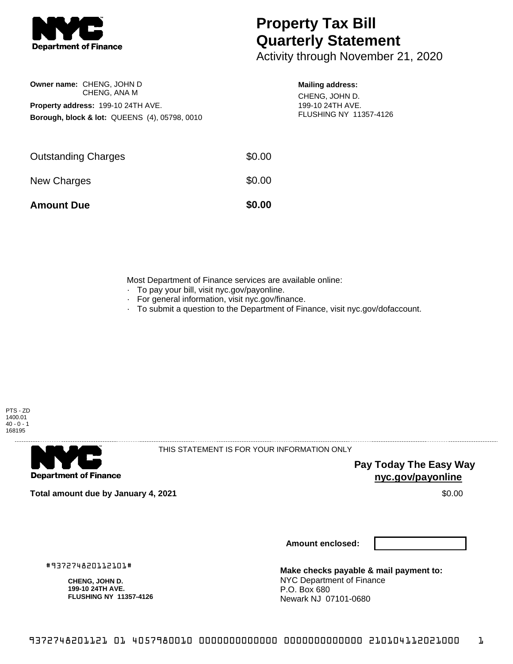

**Owner name:** CHENG, JOHN D

**Property address:** 199-10 24TH AVE.

CHENG, ANA M

**Borough, block & lot:** QUEENS (4), 05798, 0010

## **Property Tax Bill Quarterly Statement**

Activity through November 21, 2020

## **Mailing address:**

CHENG, JOHN D. 199-10 24TH AVE. FLUSHING NY 11357-4126

| \$0.00 |
|--------|
| \$0.00 |
| \$0.00 |
|        |

Most Department of Finance services are available online:

- · To pay your bill, visit nyc.gov/payonline.
- For general information, visit nyc.gov/finance.
- · To submit a question to the Department of Finance, visit nyc.gov/dofaccount.





THIS STATEMENT IS FOR YOUR INFORMATION ONLY

**Pay Today The Easy Way nyc.gov/payonline**

**Total amount due by January 4, 2021** \$0.00

**Amount enclosed:**

#937274820112101#

**CHENG, JOHN D. 199-10 24TH AVE. FLUSHING NY 11357-4126**

**Make checks payable & mail payment to:** NYC Department of Finance P.O. Box 680 Newark NJ 07101-0680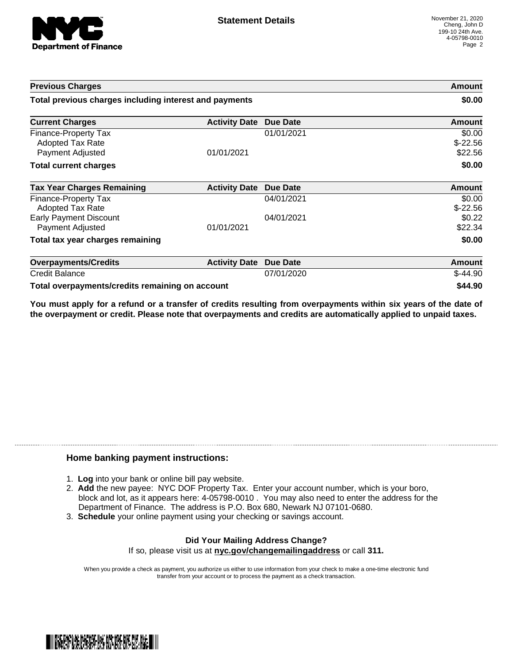

| <b>Previous Charges</b><br>Total previous charges including interest and payments |                      |                 | Amount<br>\$0.00               |
|-----------------------------------------------------------------------------------|----------------------|-----------------|--------------------------------|
|                                                                                   |                      |                 |                                |
| Finance-Property Tax<br><b>Adopted Tax Rate</b><br>Payment Adjusted               | 01/01/2021           | 01/01/2021      | \$0.00<br>$$-22.56$<br>\$22.56 |
| <b>Total current charges</b>                                                      |                      |                 | \$0.00                         |
| <b>Tax Year Charges Remaining</b>                                                 | <b>Activity Date</b> | Due Date        | Amount                         |
| Finance-Property Tax<br>Adopted Tax Rate                                          |                      | 04/01/2021      | \$0.00<br>$$-22.56$            |
| <b>Early Payment Discount</b><br>Payment Adjusted                                 | 01/01/2021           | 04/01/2021      | \$0.22<br>\$22.34              |
| Total tax year charges remaining                                                  |                      |                 | \$0.00                         |
| <b>Overpayments/Credits</b>                                                       | <b>Activity Date</b> | <b>Due Date</b> | Amount                         |
| <b>Credit Balance</b>                                                             |                      | 07/01/2020      | $$-44.90$                      |
| Total overpayments/credits remaining on account                                   |                      |                 | \$44.90                        |

You must apply for a refund or a transfer of credits resulting from overpayments within six years of the date of **the overpayment or credit. Please note that overpayments and credits are automatically applied to unpaid taxes.**

## **Home banking payment instructions:**

- 1. **Log** into your bank or online bill pay website.
- 2. **Add** the new payee: NYC DOF Property Tax. Enter your account number, which is your boro, block and lot, as it appears here: 4-05798-0010 . You may also need to enter the address for the Department of Finance. The address is P.O. Box 680, Newark NJ 07101-0680.
- 3. **Schedule** your online payment using your checking or savings account.

## **Did Your Mailing Address Change?** If so, please visit us at **nyc.gov/changemailingaddress** or call **311.**

When you provide a check as payment, you authorize us either to use information from your check to make a one-time electronic fund transfer from your account or to process the payment as a check transaction.